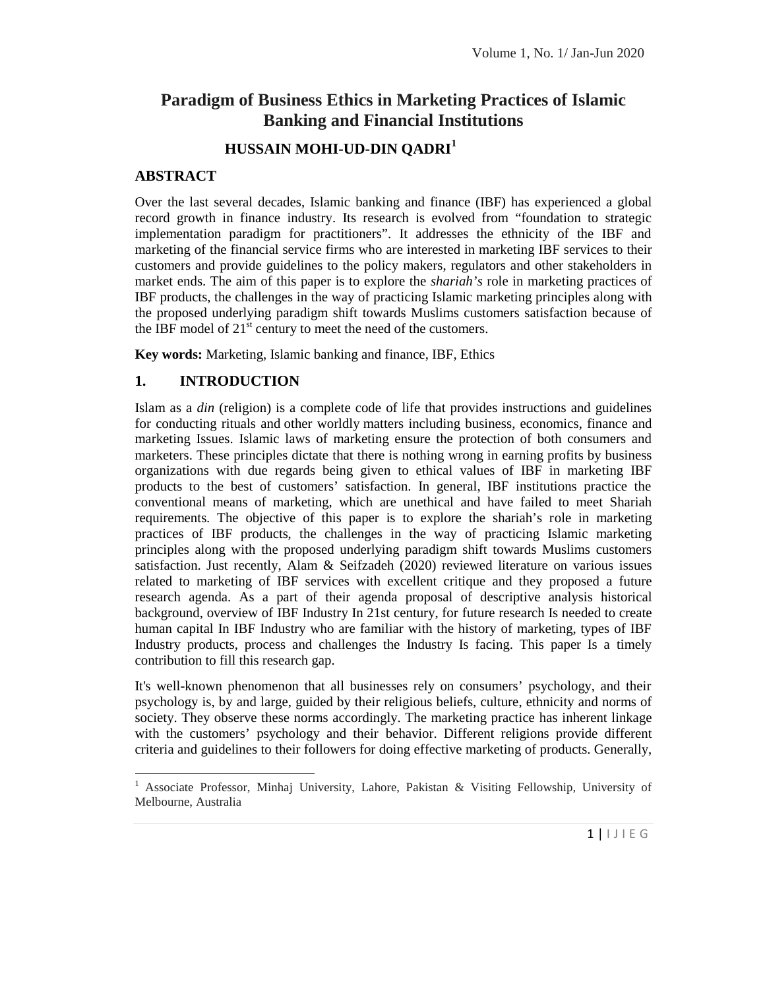# **Paradigm of Business Ethics in Marketing Practices of Islamic Banking and Financial Institutions**

## **HUSSAIN MOHI-UD-DIN QADRI<sup>1</sup>**

#### **ABSTRACT**

Over the last several decades, Islamic banking and finance (IBF) has experienced a global record growth in finance industry. Its research is evolved from "foundation to strategic implementation paradigm for practitioners". It addresses the ethnicity of the IBF and marketing of the financial service firms who are interested in marketing IBF services to their customers and provide guidelines to the policy makers, regulators and other stakeholders in market ends. The aim of this paper is to explore the *shariah's* role in marketing practices of IBF products, the challenges in the way of practicing Islamic marketing principles along with the proposed underlying paradigm shift towards Muslims customers satisfaction because of the IBF model of  $21<sup>st</sup>$  century to meet the need of the customers.

**Key words:** Marketing, Islamic banking and finance, IBF, Ethics

## **1. INTRODUCTION**

Islam as a *din* (religion) is a complete code of life that provides instructions and guidelines for conducting rituals and other worldly matters including business, economics, finance and marketing Issues. Islamic laws of marketing ensure the protection of both consumers and marketers. These principles dictate that there is nothing wrong in earning profits by business organizations with due regards being given to ethical values of IBF in marketing IBF products to the best of customers' satisfaction. In general, IBF institutions practice the conventional means of marketing, which are unethical and have failed to meet Shariah requirements. The objective of this paper is to explore the shariah's role in marketing practices of IBF products, the challenges in the way of practicing Islamic marketing principles along with the proposed underlying paradigm shift towards Muslims customers satisfaction. Just recently, Alam & Seifzadeh (2020) reviewed literature on various issues related to marketing of IBF services with excellent critique and they proposed a future research agenda. As a part of their agenda proposal of descriptive analysis historical background, overview of IBF Industry In 21st century, for future research Is needed to create human capital In IBF Industry who are familiar with the history of marketing, types of IBF Industry products, process and challenges the Industry Is facing. This paper Is a timely contribution to fill this research gap.

It's well-known phenomenon that all businesses rely on consumers' psychology, and their psychology is, by and large, guided by their religious beliefs, culture, ethnicity and norms of society. They observe these norms accordingly. The marketing practice has inherent linkage with the customers' psychology and their behavior. Different religions provide different criteria and guidelines to their followers for doing effective marketing of products. Generally,

The University of  $1 | \cup E$ <sup>1</sup> Associate Professor, Minhaj University, Lahore, Pakistan & Visiting Fellowship, University of Melbourne, Australia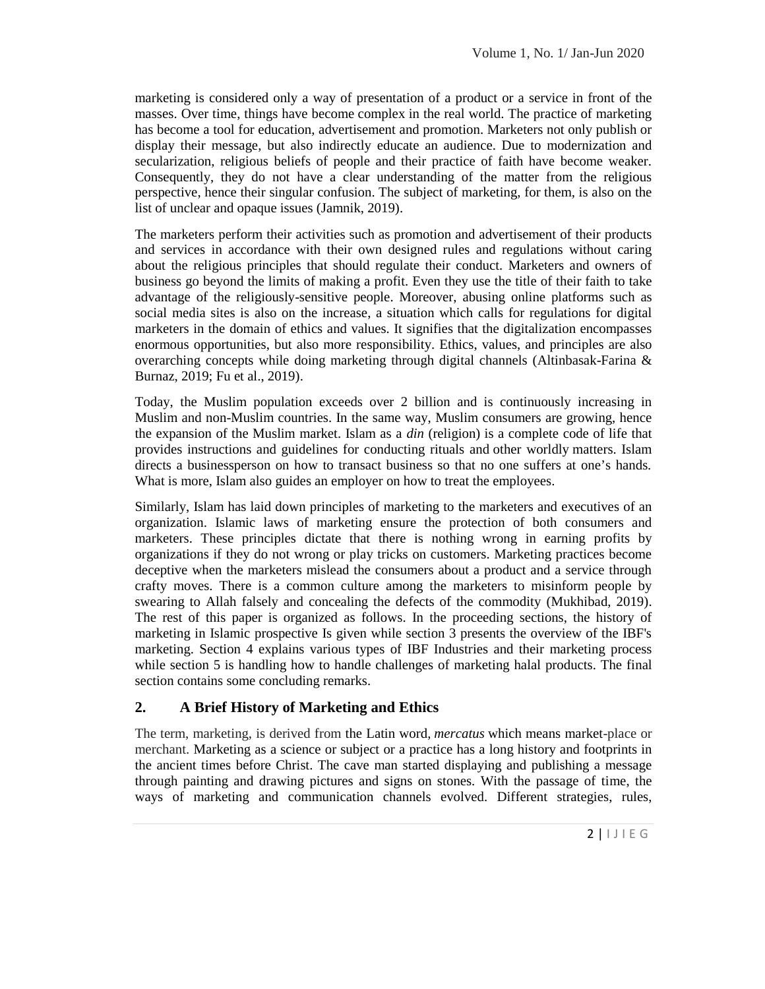marketing is considered only a way of presentation of a product or a service in front of the masses. Over time, things have become complex in the real world. The practice of marketing has become a tool for education, advertisement and promotion. Marketers not only publish or display their message, but also indirectly educate an audience. Due to modernization and secularization, religious beliefs of people and their practice of faith have become weaker. Consequently, they do not have a clear understanding of the matter from the religious perspective, hence their singular confusion. The subject of marketing, for them, is also on the list of unclear and opaque issues (Jamnik, 2019).

The marketers perform their activities such as promotion and advertisement of their products and services in accordance with their own designed rules and regulations without caring about the religious principles that should regulate their conduct. Marketers and owners of business go beyond the limits of making a profit. Even they use the title of their faith to take advantage of the religiously-sensitive people. Moreover, abusing online platforms such as social media sites is also on the increase, a situation which calls for regulations for digital marketers in the domain of ethics and values. It signifies that the digitalization encompasses enormous opportunities, but also more responsibility. Ethics, values, and principles are also overarching concepts while doing marketing through digital channels (Altinbasak-Farina & Burnaz, 2019; Fu et al., 2019).

Today, the Muslim population exceeds over 2 billion and is continuously increasing in Muslim and non-Muslim countries. In the same way, Muslim consumers are growing, hence the expansion of the Muslim market. Islam as a *din* (religion) is a complete code of life that provides instructions and guidelines for conducting rituals and other worldly matters. Islam directs a businessperson on how to transact business so that no one suffers at one's hands. What is more, Islam also guides an employer on how to treat the employees.

Similarly, Islam has laid down principles of marketing to the marketers and executives of an organization. Islamic laws of marketing ensure the protection of both consumers and marketers. These principles dictate that there is nothing wrong in earning profits by organizations if they do not wrong or play tricks on customers. Marketing practices become deceptive when the marketers mislead the consumers about a product and a service through crafty moves. There is a common culture among the marketers to misinform people by swearing to Allah falsely and concealing the defects of the commodity (Mukhibad, 2019). The rest of this paper is organized as follows. In the proceeding sections, the history of marketing in Islamic prospective Is given while section 3 presents the overview of the IBF's marketing. Section 4 explains various types of IBF Industries and their marketing process while section 5 is handling how to handle challenges of marketing halal products. The final section contains some concluding remarks.

## **2. A Brief History of Marketing and Ethics**

 $\frac{1}{2}$  a message<br>of time, the<br>gies, rules,<br>2 | 1 J I E G The term, marketing, is derived from the Latin word*, mercatus* which means market-place or merchant. Marketing as a science or subject or a practice has a long history and footprints in the ancient times before Christ. The cave man started displaying and publishing a message through painting and drawing pictures and signs on stones. With the passage of time, the ways of marketing and communication channels evolved. Different strategies, rules,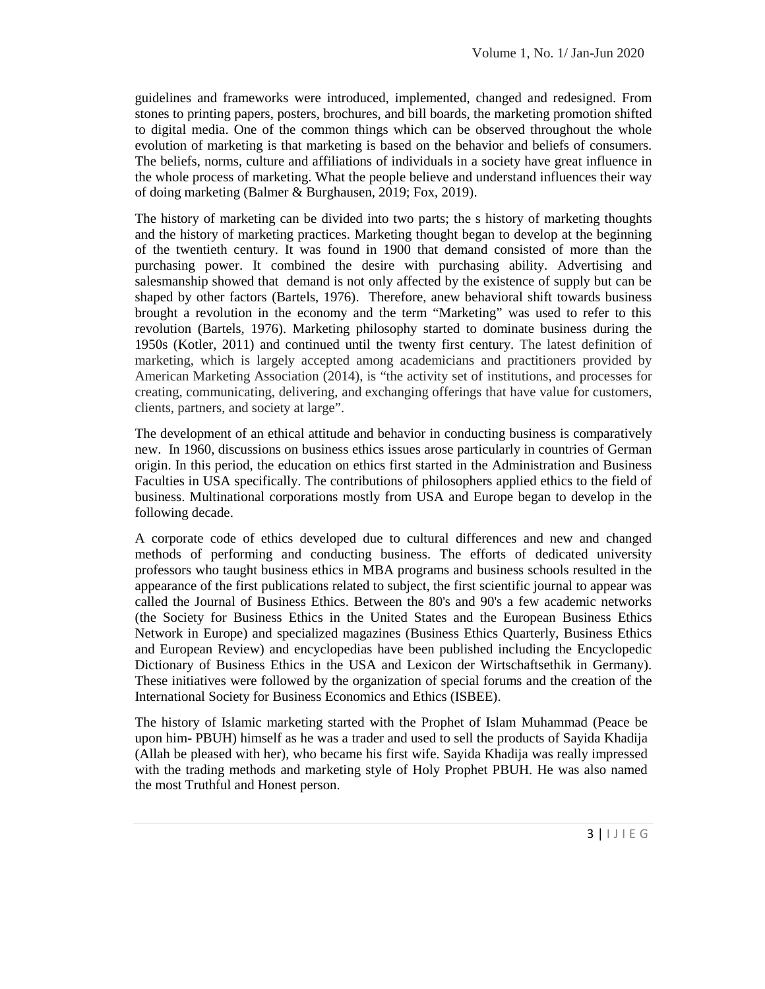guidelines and frameworks were introduced, implemented, changed and redesigned. From stones to printing papers, posters, brochures, and bill boards, the marketing promotion shifted to digital media. One of the common things which can be observed throughout the whole evolution of marketing is that marketing is based on the behavior and beliefs of consumers. The beliefs, norms, culture and affiliations of individuals in a society have great influence in the whole process of marketing. What the people believe and understand influences their way of doing marketing (Balmer & Burghausen, 2019; Fox, 2019).

The history of marketing can be divided into two parts; the s history of marketing thoughts and the history of marketing practices. Marketing thought began to develop at the beginning of the twentieth century. It was found in 1900 that demand consisted of more than the purchasing power. It combined the desire with purchasing ability. Advertising and salesmanship showed that demand is not only affected by the existence of supply but can be shaped by other factors (Bartels, 1976). Therefore, anew behavioral shift towards business brought a revolution in the economy and the term "Marketing" was used to refer to this revolution (Bartels, 1976). Marketing philosophy started to dominate business during the 1950s (Kotler, 2011) and continued until the twenty first century. The latest definition of marketing, which is largely accepted among academicians and practitioners provided by American Marketing Association (2014), is "the activity set of institutions, and processes for creating, communicating, delivering, and exchanging offerings that have value for customers, clients, partners, and society at large".

The development of an ethical attitude and behavior in conducting business is comparatively new. In 1960, discussions on business ethics issues arose particularly in countries of German origin. In this period, the education on ethics first started in the Administration and Business Faculties in USA specifically. The contributions of philosophers applied ethics to the field of business. Multinational corporations mostly from USA and Europe began to develop in the following decade.

A corporate code of ethics developed due to cultural differences and new and changed methods of performing and conducting business. The efforts of dedicated university professors who taught business ethics in MBA programs and business schools resulted in the appearance of the first publications related to subject, the first scientific journal to appear was called the Journal of Business Ethics. Between the 80's and 90's a few academic networks (the Society for Business Ethics in the United States and the European Business Ethics Network in Europe) and specialized magazines (Business Ethics Quarterly, Business Ethics and European Review) and encyclopedias have been published including the Encyclopedic Dictionary of Business Ethics in the USA and Lexicon der Wirtschaftsethik in Germany). These initiatives were followed by the organization of special forums and the creation of the International Society for Business Economics and Ethics (ISBEE).

Iso named<br>3 | I J I E G The history of Islamic marketing started with the Prophet of Islam Muhammad (Peace be upon him- PBUH) himself as he was a trader and used to sell the products of Sayida Khadija (Allah be pleased with her), who became his first wife. Sayida Khadija was really impressed with the trading methods and marketing style of Holy Prophet PBUH. He was also named the most Truthful and Honest person.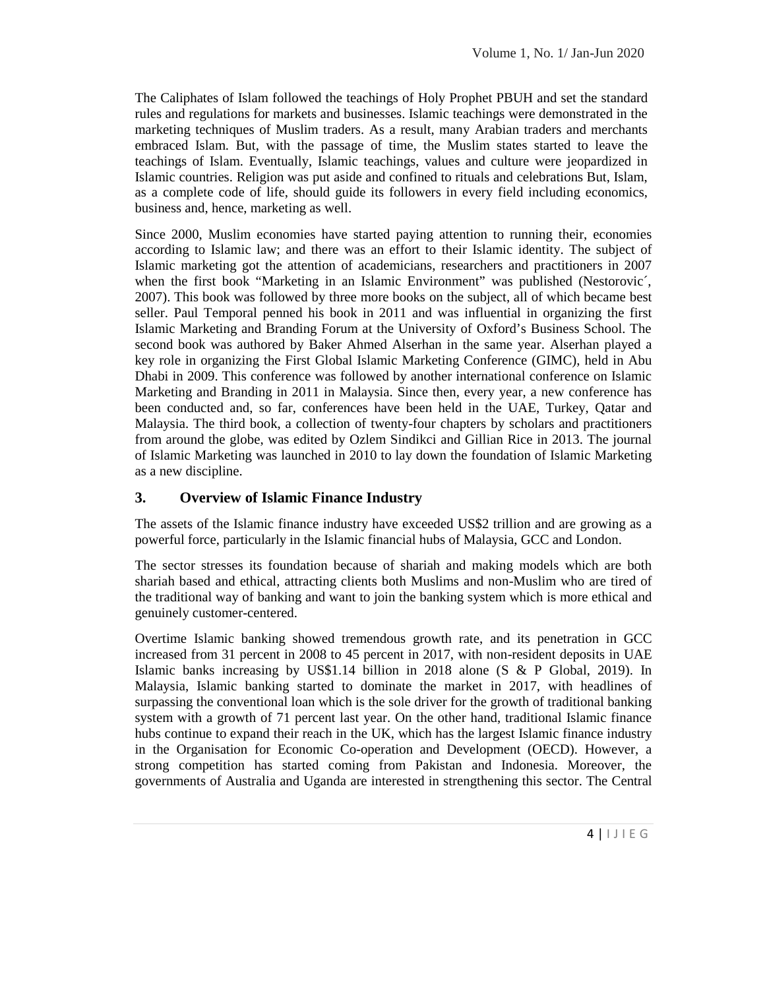The Caliphates of Islam followed the teachings of Holy Prophet PBUH and set the standard rules and regulations for markets and businesses. Islamic teachings were demonstrated in the marketing techniques of Muslim traders. As a result, many Arabian traders and merchants embraced Islam. But, with the passage of time, the Muslim states started to leave the teachings of Islam. Eventually, Islamic teachings, values and culture were jeopardized in Islamic countries. Religion was put aside and confined to rituals and celebrations But, Islam, as a complete code of life, should guide its followers in every field including economics, business and, hence, marketing as well.

Since 2000, Muslim economies have started paying attention to running their, economies according to Islamic law; and there was an effort to their Islamic identity. The subject of Islamic marketing got the attention of academicians, researchers and practitioners in 2007 when the first book "Marketing in an Islamic Environment" was published (Nestorovic´, 2007). This book was followed by three more books on the subject, all of which became best seller. Paul Temporal penned his book in 2011 and was influential in organizing the first Islamic Marketing and Branding Forum at the University of Oxford's Business School. The second book was authored by Baker Ahmed Alserhan in the same year. Alserhan played a key role in organizing the First Global Islamic Marketing Conference (GIMC), held in Abu Dhabi in 2009. This conference was followed by another international conference on Islamic Marketing and Branding in 2011 in Malaysia. Since then, every year, a new conference has been conducted and, so far, conferences have been held in the UAE, Turkey, Qatar and Malaysia. The third book, a collection of twenty-four chapters by scholars and practitioners from around the globe, was edited by Ozlem Sindikci and Gillian Rice in 2013. The journal of Islamic Marketing was launched in 2010 to lay down the foundation of Islamic Marketing as a new discipline.

#### **3. Overview of Islamic Finance Industry**

The assets of the Islamic finance industry have exceeded US\$2 trillion and are growing as a powerful force, particularly in the Islamic financial hubs of Malaysia, GCC and London.

The sector stresses its foundation because of shariah and making models which are both shariah based and ethical, attracting clients both Muslims and non-Muslim who are tired of the traditional way of banking and want to join the banking system which is more ethical and genuinely customer-centered.

Frower,  $\alpha$ <br>reover, the<br>The Central<br>4 |  $\Box$  I E G Overtime Islamic banking showed tremendous growth rate, and its penetration in GCC increased from 31 percent in 2008 to 45 percent in 2017, with non-resident deposits in UAE Islamic banks increasing by US\$1.14 billion in 2018 alone (S & P Global, 2019). In Malaysia, Islamic banking started to dominate the market in 2017, with headlines of surpassing the conventional loan which is the sole driver for the growth of traditional banking system with a growth of 71 percent last year. On the other hand, traditional Islamic finance hubs continue to expand their reach in the UK, which has the largest Islamic finance industry in the Organisation for Economic Co-operation and Development (OECD). However, a strong competition has started coming from Pakistan and Indonesia. Moreover, the governments of Australia and Uganda are interested in strengthening this sector. The Central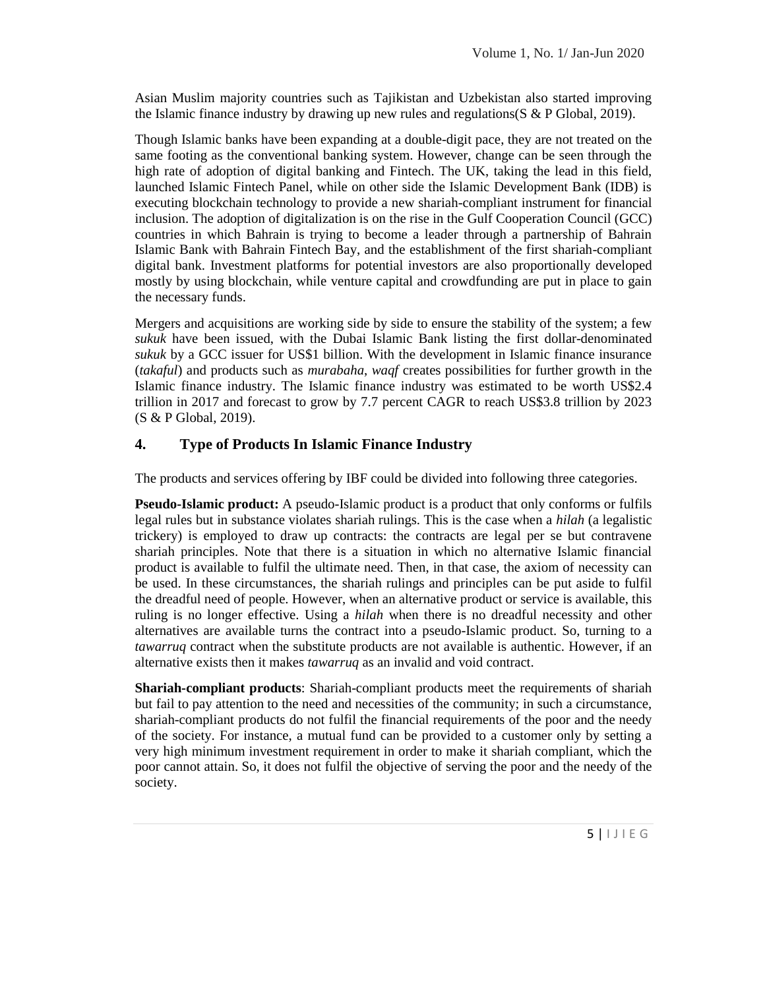Asian Muslim majority countries such as Tajikistan and Uzbekistan also started improving the Islamic finance industry by drawing up new rules and regulations  $(S \& P \text{ Global}, 2019)$ .

Though Islamic banks have been expanding at a double-digit pace, they are not treated on the same footing as the conventional banking system. However, change can be seen through the high rate of adoption of digital banking and Fintech. The UK, taking the lead in this field, launched Islamic Fintech Panel, while on other side the Islamic Development Bank (IDB) is executing blockchain technology to provide a new shariah-compliant instrument for financial inclusion. The adoption of digitalization is on the rise in the Gulf Cooperation Council (GCC) countries in which Bahrain is trying to become a leader through a partnership of Bahrain Islamic Bank with Bahrain Fintech Bay, and the establishment of the first shariah-compliant digital bank. Investment platforms for potential investors are also proportionally developed mostly by using blockchain, while venture capital and crowdfunding are put in place to gain the necessary funds.

Mergers and acquisitions are working side by side to ensure the stability of the system; a few *sukuk* have been issued, with the Dubai Islamic Bank listing the first dollar-denominated *sukuk* by a GCC issuer for US\$1 billion. With the development in Islamic finance insurance (*takaful*) and products such as *murabaha*, *waqf* creates possibilities for further growth in the Islamic finance industry. The Islamic finance industry was estimated to be worth US\$2.4 trillion in 2017 and forecast to grow by 7.7 percent CAGR to reach US\$3.8 trillion by 2023 (S & P Global, 2019).

#### **4. Type of Products In Islamic Finance Industry**

The products and services offering by IBF could be divided into following three categories.

**Pseudo-Islamic product:** A pseudo-Islamic product is a product that only conforms or fulfils legal rules but in substance violates shariah rulings. This is the case when a *hilah* (a legalistic trickery) is employed to draw up contracts: the contracts are legal per se but contravene shariah principles. Note that there is a situation in which no alternative Islamic financial product is available to fulfil the ultimate need. Then, in that case, the axiom of necessity can be used. In these circumstances, the shariah rulings and principles can be put aside to fulfil the dreadful need of people. However, when an alternative product or service is available, this ruling is no longer effective. Using a *hilah* when there is no dreadful necessity and other alternatives are available turns the contract into a pseudo-Islamic product. So, turning to a *tawarruq* contract when the substitute products are not available is authentic. However, if an alternative exists then it makes *tawarruq* as an invalid and void contract.

 $\begin{array}{c} \text{1} \\ \text{1} \\ \text{2} \\ \text{3} \\ \text{4} \\ \text{5} \\ \text{5} \\ \text{6} \\ \text{7} \\ \text{8} \\ \text{9} \\ \text{1} \\ \text{1} \\ \text{1} \\ \text{1} \\ \text{2} \\ \text{1} \\ \text{2} \\ \text{3} \\ \text{4} \\ \text{5} \\ \text{1} \\ \text{1} \\ \text{1} \\ \text{1} \\ \text{2} \\ \text{2} \\ \text{3} \\ \text{4} \\ \text{5} \\ \text{5} \\ \text{1} \\ \text{1} \\ \text{1} \\ \text{2} \\ \text{$ **Shariah-compliant products**: Shariah-compliant products meet the requirements of shariah but fail to pay attention to the need and necessities of the community; in such a circumstance, shariah-compliant products do not fulfil the financial requirements of the poor and the needy of the society. For instance, a mutual fund can be provided to a customer only by setting a very high minimum investment requirement in order to make it shariah compliant, which the poor cannot attain. So, it does not fulfil the objective of serving the poor and the needy of the society.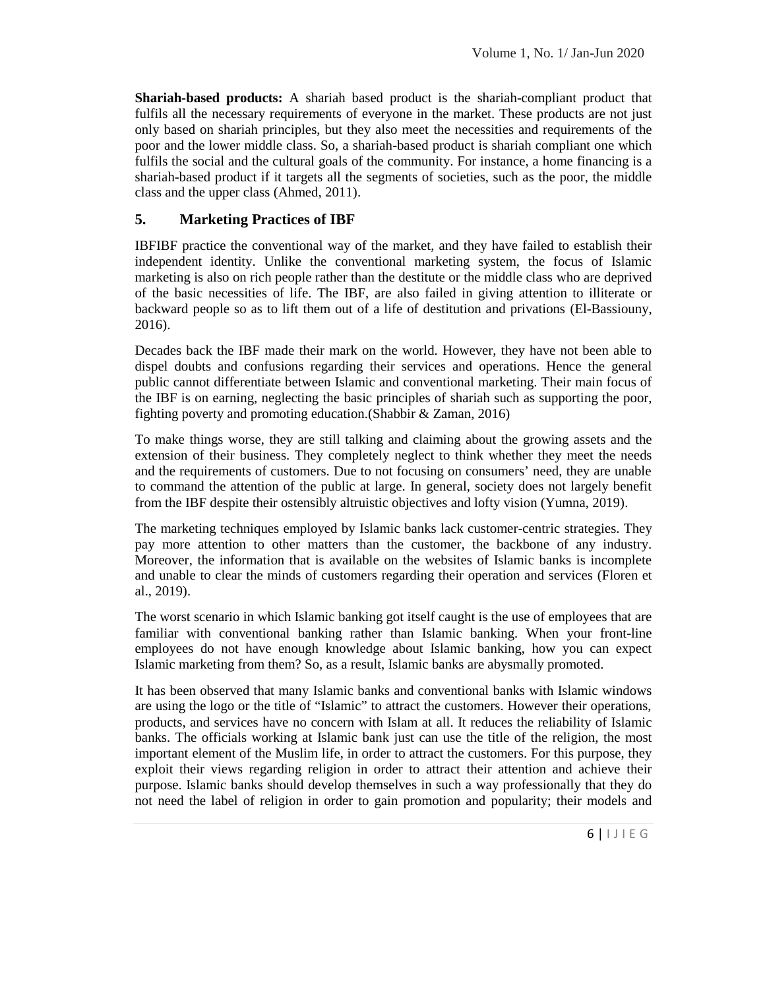**Shariah-based products:** A shariah based product is the shariah-compliant product that fulfils all the necessary requirements of everyone in the market. These products are not just only based on shariah principles, but they also meet the necessities and requirements of the poor and the lower middle class. So, a shariah-based product is shariah compliant one which fulfils the social and the cultural goals of the community. For instance, a home financing is a shariah-based product if it targets all the segments of societies, such as the poor, the middle class and the upper class (Ahmed, 2011).

#### **5. Marketing Practices of IBF**

IBFIBF practice the conventional way of the market, and they have failed to establish their independent identity. Unlike the conventional marketing system, the focus of Islamic marketing is also on rich people rather than the destitute or the middle class who are deprived of the basic necessities of life. The IBF, are also failed in giving attention to illiterate or backward people so as to lift them out of a life of destitution and privations (El-Bassiouny, 2016).

Decades back the IBF made their mark on the world. However, they have not been able to dispel doubts and confusions regarding their services and operations. Hence the general public cannot differentiate between Islamic and conventional marketing. Their main focus of the IBF is on earning, neglecting the basic principles of shariah such as supporting the poor, fighting poverty and promoting education.(Shabbir & Zaman, 2016)

To make things worse, they are still talking and claiming about the growing assets and the extension of their business. They completely neglect to think whether they meet the needs and the requirements of customers. Due to not focusing on consumers' need, they are unable to command the attention of the public at large. In general, society does not largely benefit from the IBF despite their ostensibly altruistic objectives and lofty vision (Yumna, 2019).

The marketing techniques employed by Islamic banks lack customer-centric strategies. They pay more attention to other matters than the customer, the backbone of any industry. Moreover, the information that is available on the websites of Islamic banks is incomplete and unable to clear the minds of customers regarding their operation and services (Floren et al., 2019).

The worst scenario in which Islamic banking got itself caught is the use of employees that are familiar with conventional banking rather than Islamic banking. When your front-line employees do not have enough knowledge about Islamic banking, how you can expect Islamic marketing from them? So, as a result, Islamic banks are abysmally promoted.

The unity of the state of the state of the state of  $\overline{6}$  | 1 J | E G It has been observed that many Islamic banks and conventional banks with Islamic windows are using the logo or the title of "Islamic" to attract the customers. However their operations, products, and services have no concern with Islam at all. It reduces the reliability of Islamic banks. The officials working at Islamic bank just can use the title of the religion, the most important element of the Muslim life, in order to attract the customers. For this purpose, they exploit their views regarding religion in order to attract their attention and achieve their purpose. Islamic banks should develop themselves in such a way professionally that they do not need the label of religion in order to gain promotion and popularity; their models and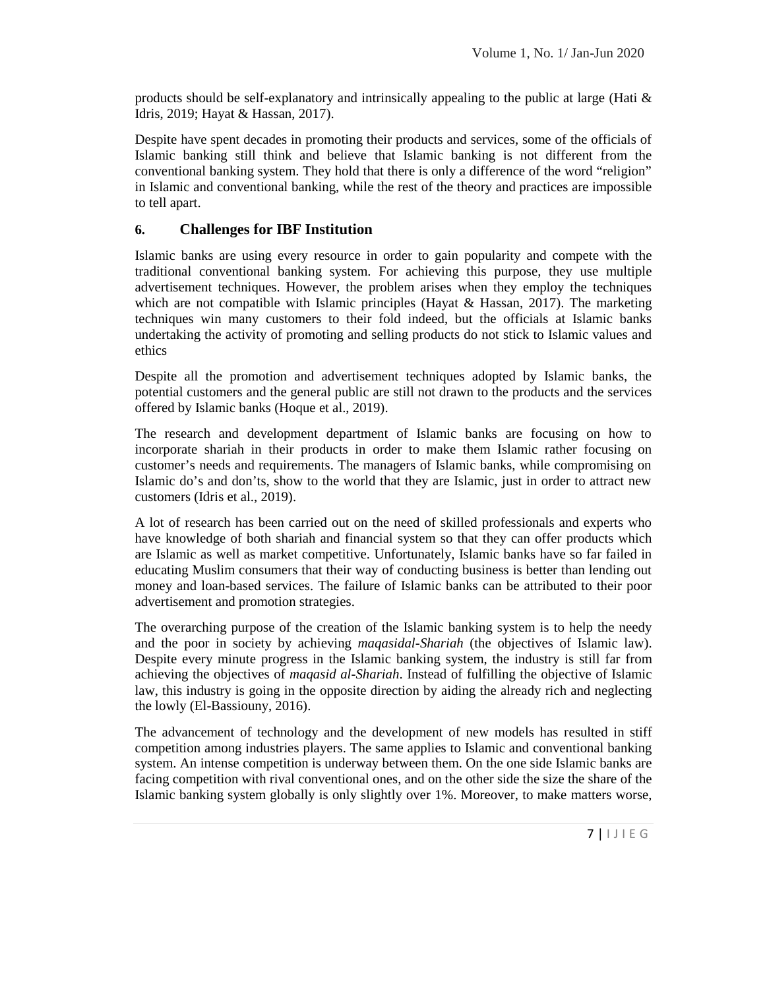products should be self-explanatory and intrinsically appealing to the public at large (Hati  $\&$ Idris, 2019; Hayat & Hassan, 2017).

Despite have spent decades in promoting their products and services, some of the officials of Islamic banking still think and believe that Islamic banking is not different from the conventional banking system. They hold that there is only a difference of the word "religion" in Islamic and conventional banking, while the rest of the theory and practices are impossible to tell apart.

#### **6. Challenges for IBF Institution**

Islamic banks are using every resource in order to gain popularity and compete with the traditional conventional banking system. For achieving this purpose, they use multiple advertisement techniques. However, the problem arises when they employ the techniques which are not compatible with Islamic principles (Hayat & Hassan, 2017). The marketing techniques win many customers to their fold indeed, but the officials at Islamic banks undertaking the activity of promoting and selling products do not stick to Islamic values and ethics

Despite all the promotion and advertisement techniques adopted by Islamic banks, the potential customers and the general public are still not drawn to the products and the services offered by Islamic banks (Hoque et al., 2019).

The research and development department of Islamic banks are focusing on how to incorporate shariah in their products in order to make them Islamic rather focusing on customer's needs and requirements. The managers of Islamic banks, while compromising on Islamic do's and don'ts, show to the world that they are Islamic, just in order to attract new customers (Idris et al., 2019).

A lot of research has been carried out on the need of skilled professionals and experts who have knowledge of both shariah and financial system so that they can offer products which are Islamic as well as market competitive. Unfortunately, Islamic banks have so far failed in educating Muslim consumers that their way of conducting business is better than lending out money and loan-based services. The failure of Islamic banks can be attributed to their poor advertisement and promotion strategies.

The overarching purpose of the creation of the Islamic banking system is to help the needy and the poor in society by achieving *maqasidal-Shariah* (the objectives of Islamic law). Despite every minute progress in the Islamic banking system, the industry is still far from achieving the objectives of *maqasid al-Shariah*. Instead of fulfilling the objective of Islamic law, this industry is going in the opposite direction by aiding the already rich and neglecting the lowly (El-Bassiouny, 2016).

ntal banks are<br>share of the<br>tters worse,<br>7 | 1 J I E G The advancement of technology and the development of new models has resulted in stiff competition among industries players. The same applies to Islamic and conventional banking system. An intense competition is underway between them. On the one side Islamic banks are facing competition with rival conventional ones, and on the other side the size the share of the Islamic banking system globally is only slightly over 1%. Moreover, to make matters worse,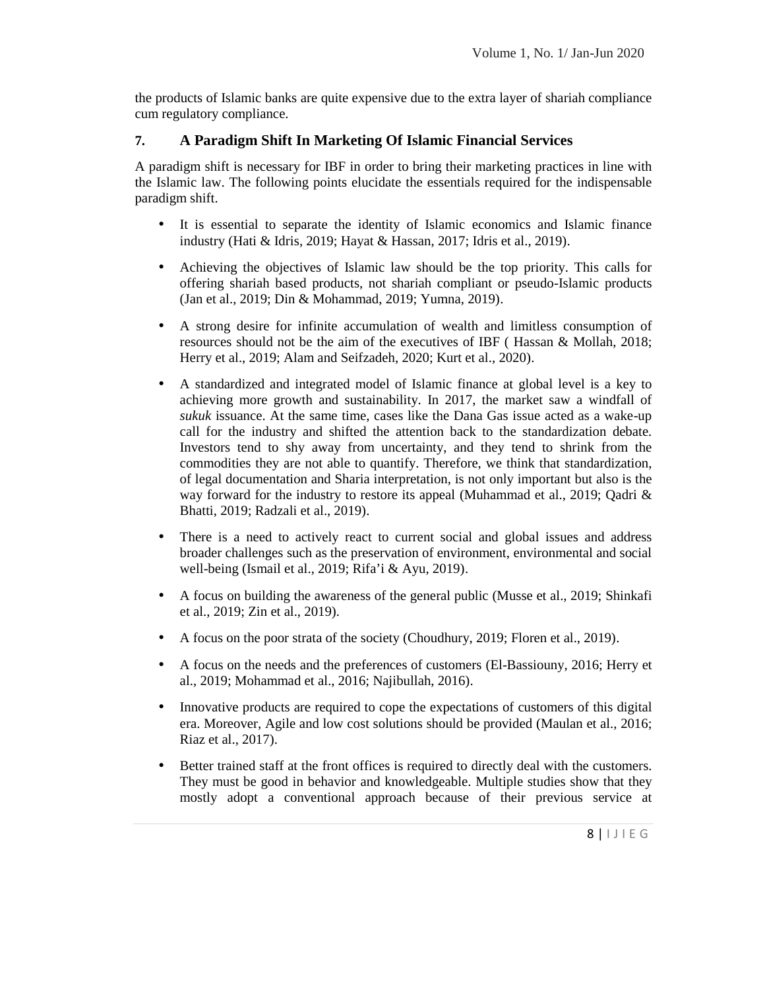the products of Islamic banks are quite expensive due to the extra layer of shariah compliance cum regulatory compliance.

#### **7. A Paradigm Shift In Marketing Of Islamic Financial Services**

A paradigm shift is necessary for IBF in order to bring their marketing practices in line with the Islamic law. The following points elucidate the essentials required for the indispensable paradigm shift.

- It is essential to separate the identity of Islamic economics and Islamic finance industry (Hati & Idris, 2019; Hayat & Hassan, 2017; Idris et al., 2019).
- Achieving the objectives of Islamic law should be the top priority. This calls for offering shariah based products, not shariah compliant or pseudo-Islamic products (Jan et al., 2019; Din & Mohammad, 2019; Yumna, 2019).
- A strong desire for infinite accumulation of wealth and limitless consumption of resources should not be the aim of the executives of IBF ( Hassan & Mollah, 2018; Herry et al., 2019; Alam and Seifzadeh, 2020; Kurt et al., 2020).
- A standardized and integrated model of Islamic finance at global level is a key to achieving more growth and sustainability. In 2017, the market saw a windfall of *sukuk* issuance. At the same time, cases like the Dana Gas issue acted as a wake-up call for the industry and shifted the attention back to the standardization debate. Investors tend to shy away from uncertainty, and they tend to shrink from the commodities they are not able to quantify. Therefore, we think that standardization, of legal documentation and Sharia interpretation, is not only important but also is the way forward for the industry to restore its appeal (Muhammad et al., 2019; Qadri & Bhatti, 2019; Radzali et al., 2019).
- There is a need to actively react to current social and global issues and address broader challenges such as the preservation of environment, environmental and social well-being (Ismail et al., 2019; Rifa'i & Ayu, 2019).
- A focus on building the awareness of the general public (Musse et al., 2019; Shinkafi et al., 2019; Zin et al., 2019).
- A focus on the poor strata of the society (Choudhury, 2019; Floren et al., 2019).
- A focus on the needs and the preferences of customers (El-Bassiouny, 2016; Herry et al., 2019; Mohammad et al., 2016; Najibullah, 2016).
- Innovative products are required to cope the expectations of customers of this digital era. Moreover, Agile and low cost solutions should be provided (Maulan et al., 2016; Riaz et al., 2017).
- Example 18 in the service at  $\frac{8 \mid 1 \mid 1 \in \mathbb{G}}{8 \mid 1 \mid 1 \in \mathbb{G}}$  Better trained staff at the front offices is required to directly deal with the customers. They must be good in behavior and knowledgeable. Multiple studies show that they mostly adopt a conventional approach because of their previous service at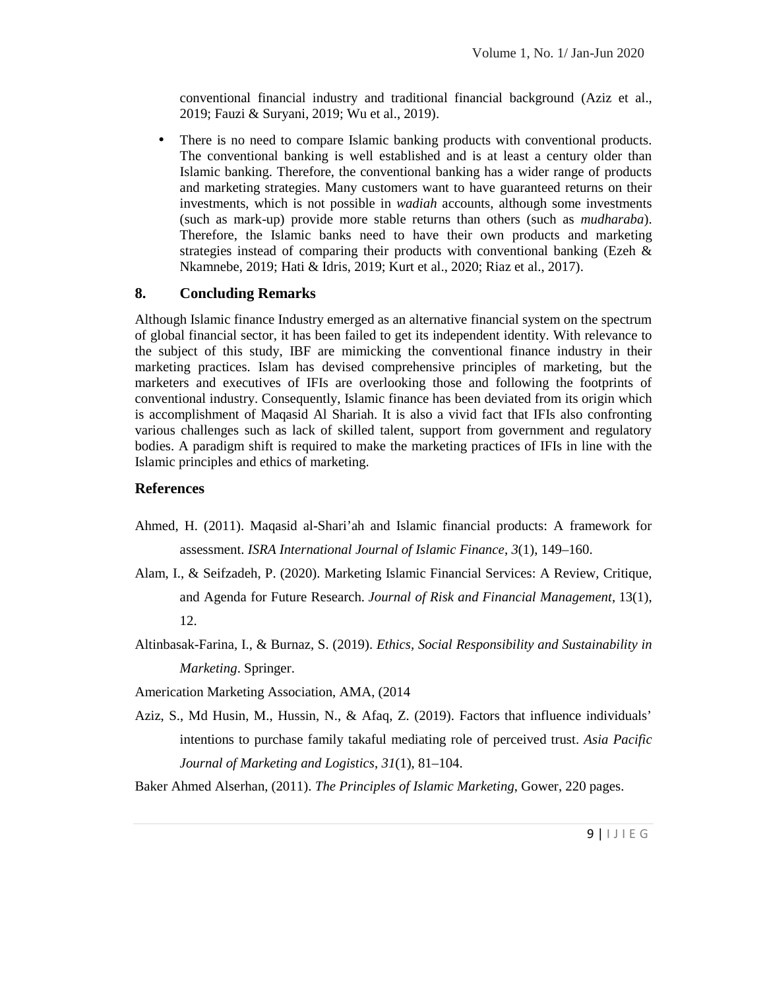conventional financial industry and traditional financial background (Aziz et al., 2019; Fauzi & Suryani, 2019; Wu et al., 2019).

• There is no need to compare Islamic banking products with conventional products. The conventional banking is well established and is at least a century older than Islamic banking. Therefore, the conventional banking has a wider range of products and marketing strategies. Many customers want to have guaranteed returns on their investments, which is not possible in *wadiah* accounts, although some investments (such as mark-up) provide more stable returns than others (such as *mudharaba*). Therefore, the Islamic banks need to have their own products and marketing strategies instead of comparing their products with conventional banking (Ezeh  $\&$ Nkamnebe, 2019; Hati & Idris, 2019; Kurt et al., 2020; Riaz et al., 2017).

#### **8. Concluding Remarks**

Although Islamic finance Industry emerged as an alternative financial system on the spectrum of global financial sector, it has been failed to get its independent identity. With relevance to the subject of this study, IBF are mimicking the conventional finance industry in their marketing practices. Islam has devised comprehensive principles of marketing, but the marketers and executives of IFIs are overlooking those and following the footprints of conventional industry. Consequently, Islamic finance has been deviated from its origin which is accomplishment of Maqasid Al Shariah. It is also a vivid fact that IFIs also confronting various challenges such as lack of skilled talent, support from government and regulatory bodies. A paradigm shift is required to make the marketing practices of IFIs in line with the Islamic principles and ethics of marketing.

#### **References**

- Ahmed, H. (2011). Maqasid al-Shari'ah and Islamic financial products: A framework for assessment. *ISRA International Journal of Islamic Finance*, *3*(1), 149–160.
- Alam, I., & Seifzadeh, P. (2020). Marketing Islamic Financial Services: A Review, Critique, and Agenda for Future Research. *Journal of Risk and Financial Management*, 13(1), 12.
- Altinbasak-Farina, I., & Burnaz, S. (2019). *Ethics, Social Responsibility and Sustainability in Marketing*. Springer.
- Americation Marketing Association, AMA, (2014
- pages.<br>9 | I J I E G Aziz, S., Md Husin, M., Hussin, N., & Afaq, Z. (2019). Factors that influence individuals' intentions to purchase family takaful mediating role of perceived trust. *Asia Pacific Journal of Marketing and Logistics*, *31*(1), 81–104.

Baker Ahmed Alserhan, (2011). *The Principles of Islamic Marketing*, Gower, 220 pages.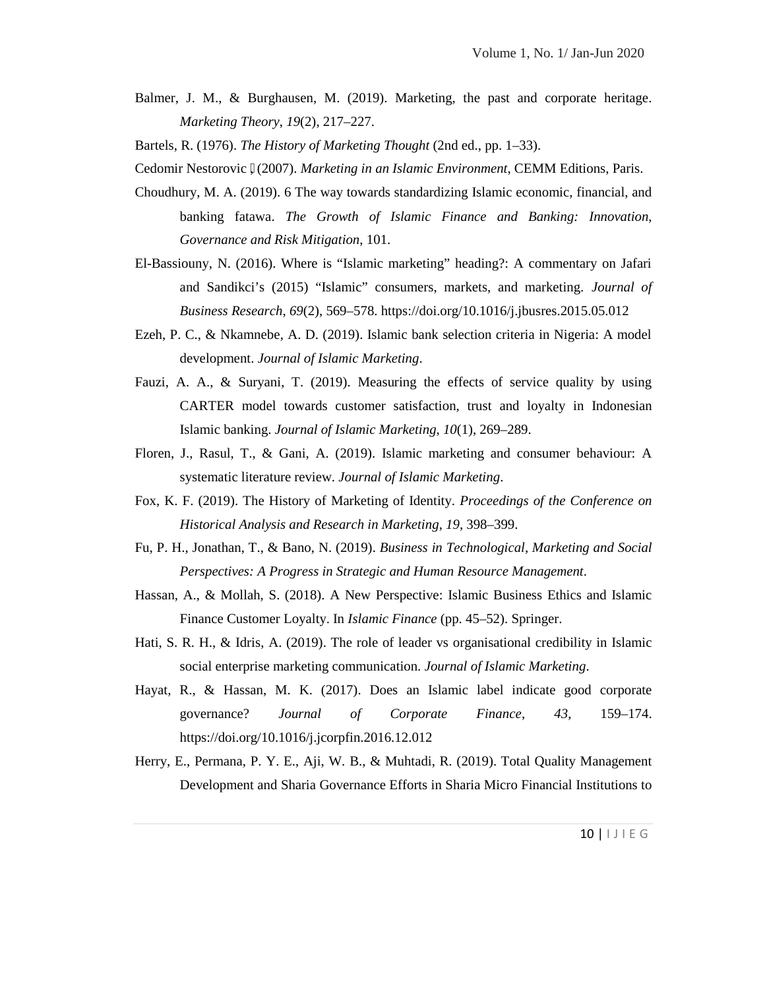Balmer, J. M., & Burghausen, M. (2019). Marketing, the past and corporate heritage. *Marketing Theory*, *19*(2), 217–227.

Bartels, R. (1976). *The History of Marketing Thought* (2nd ed., pp. 1–33).

- Cedomir Nestorovic ́, (2007). *Marketing in an Islamic Environment*, CEMM Editions, Paris.
- Choudhury, M. A. (2019). 6 The way towards standardizing Islamic economic, financial, and banking fatawa. *The Growth of Islamic Finance and Banking: Innovation, Governance and Risk Mitigation*, 101.
- El-Bassiouny, N. (2016). Where is "Islamic marketing" heading?: A commentary on Jafari and Sandikci's (2015) "Islamic" consumers, markets, and marketing. *Journal of Business Research*, *69*(2), 569–578. https://doi.org/10.1016/j.jbusres.2015.05.012
- Ezeh, P. C., & Nkamnebe, A. D. (2019). Islamic bank selection criteria in Nigeria: A model development. *Journal of Islamic Marketing*.
- Fauzi, A. A., & Suryani, T. (2019). Measuring the effects of service quality by using CARTER model towards customer satisfaction, trust and loyalty in Indonesian Islamic banking. *Journal of Islamic Marketing*, *10*(1), 269–289.
- Floren, J., Rasul, T., & Gani, A. (2019). Islamic marketing and consumer behaviour: A systematic literature review. *Journal of Islamic Marketing*.
- Fox, K. F. (2019). The History of Marketing of Identity. *Proceedings of the Conference on Historical Analysis and Research in Marketing*, *19*, 398–399.
- Fu, P. H., Jonathan, T., & Bano, N. (2019). *Business in Technological, Marketing and Social Perspectives: A Progress in Strategic and Human Resource Management*.
- Hassan, A., & Mollah, S. (2018). A New Perspective: Islamic Business Ethics and Islamic Finance Customer Loyalty. In *Islamic Finance* (pp. 45–52). Springer.
- Hati, S. R. H., & Idris, A. (2019). The role of leader vs organisational credibility in Islamic social enterprise marketing communication. *Journal of Islamic Marketing*.
- Hayat, R., & Hassan, M. K. (2017). Does an Islamic label indicate good corporate governance? *Journal of Corporate Finance*, *43*, 159–174. https://doi.org/10.1016/j.jcorpfin.2016.12.012
- Management<br>nstitutions to<br>10 | | J | E G Herry, E., Permana, P. Y. E., Aji, W. B., & Muhtadi, R. (2019). Total Quality Management Development and Sharia Governance Efforts in Sharia Micro Financial Institutions to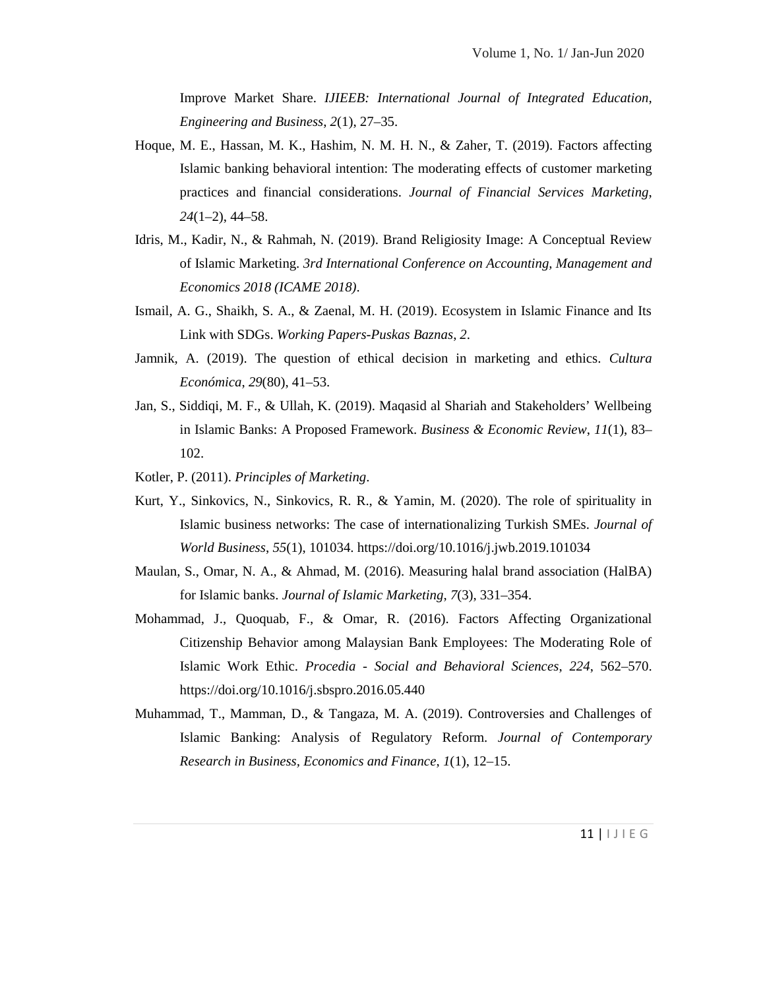Improve Market Share. *IJIEEB: International Journal of Integrated Education, Engineering and Business*, *2*(1), 27–35.

- Hoque, M. E., Hassan, M. K., Hashim, N. M. H. N., & Zaher, T. (2019). Factors affecting Islamic banking behavioral intention: The moderating effects of customer marketing practices and financial considerations. *Journal of Financial Services Marketing*, *24*(1–2), 44–58.
- Idris, M., Kadir, N., & Rahmah, N. (2019). Brand Religiosity Image: A Conceptual Review of Islamic Marketing. *3rd International Conference on Accounting, Management and Economics 2018 (ICAME 2018)*.
- Ismail, A. G., Shaikh, S. A., & Zaenal, M. H. (2019). Ecosystem in Islamic Finance and Its Link with SDGs. *Working Papers-Puskas Baznas*, *2*.
- Jamnik, A. (2019). The question of ethical decision in marketing and ethics. *Cultura Económica*, *29*(80), 41–53.
- Jan, S., Siddiqi, M. F., & Ullah, K. (2019). Maqasid al Shariah and Stakeholders' Wellbeing in Islamic Banks: A Proposed Framework. *Business & Economic Review*, *11*(1), 83– 102.
- Kotler, P. (2011). *Principles of Marketing*.
- Kurt, Y., Sinkovics, N., Sinkovics, R. R., & Yamin, M. (2020). The role of spirituality in Islamic business networks: The case of internationalizing Turkish SMEs. *Journal of World Business*, *55*(1), 101034. https://doi.org/10.1016/j.jwb.2019.101034
- Maulan, S., Omar, N. A., & Ahmad, M. (2016). Measuring halal brand association (HalBA) for Islamic banks. *Journal of Islamic Marketing*, *7*(3), 331–354.
- Mohammad, J., Quoquab, F., & Omar, R. (2016). Factors Affecting Organizational Citizenship Behavior among Malaysian Bank Employees: The Moderating Role of Islamic Work Ethic. *Procedia - Social and Behavioral Sciences*, *224*, 562–570. https://doi.org/10.1016/j.sbspro.2016.05.440
- 11 | I J I E G Muhammad, T., Mamman, D., & Tangaza, M. A. (2019). Controversies and Challenges of Islamic Banking: Analysis of Regulatory Reform. *Journal of Contemporary Research in Business, Economics and Finance*, *1*(1), 12–15.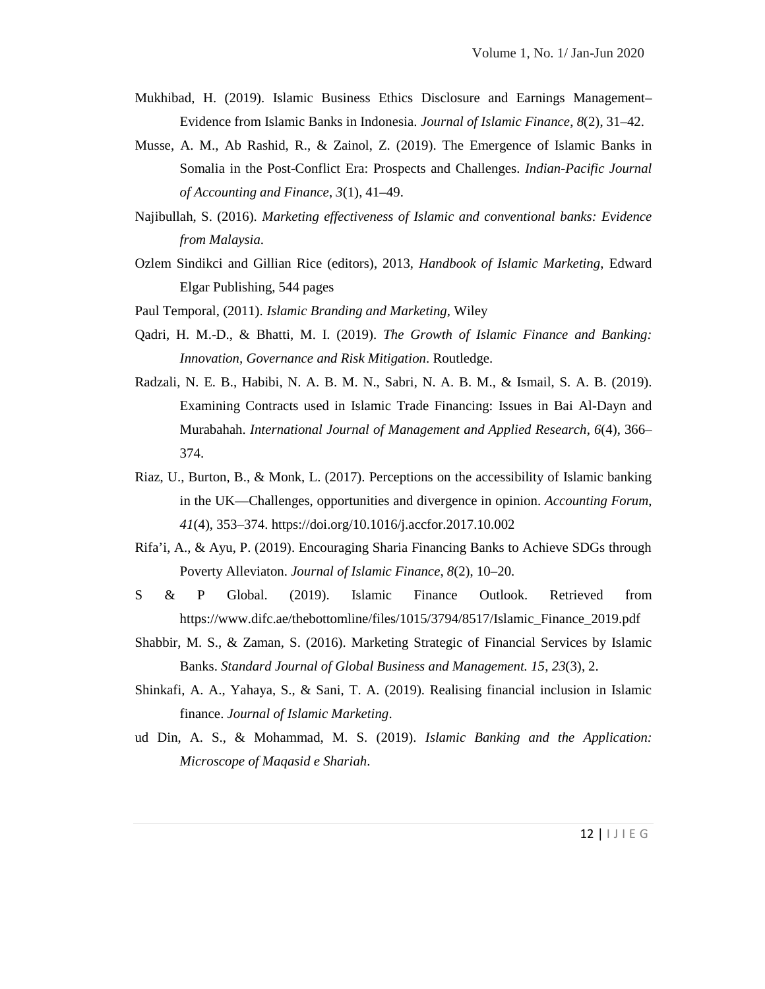- Mukhibad, H. (2019). Islamic Business Ethics Disclosure and Earnings Management– Evidence from Islamic Banks in Indonesia. *Journal of Islamic Finance*, *8*(2), 31–42.
- Musse, A. M., Ab Rashid, R., & Zainol, Z. (2019). The Emergence of Islamic Banks in Somalia in the Post-Conflict Era: Prospects and Challenges. *Indian-Pacific Journal of Accounting and Finance*, *3*(1), 41–49.
- Najibullah, S. (2016). *Marketing effectiveness of Islamic and conventional banks: Evidence from Malaysia*.
- Ozlem Sindikci and Gillian Rice (editors), 2013, *Handbook of Islamic Marketing*, Edward Elgar Publishing, 544 pages
- Paul Temporal, (2011). *Islamic Branding and Marketing,* Wiley
- Qadri, H. M.-D., & Bhatti, M. I. (2019). *The Growth of Islamic Finance and Banking: Innovation, Governance and Risk Mitigation*. Routledge.
- Radzali, N. E. B., Habibi, N. A. B. M. N., Sabri, N. A. B. M., & Ismail, S. A. B. (2019). Examining Contracts used in Islamic Trade Financing: Issues in Bai Al-Dayn and Murabahah. *International Journal of Management and Applied Research*, *6*(4), 366– 374.
- Riaz, U., Burton, B., & Monk, L. (2017). Perceptions on the accessibility of Islamic banking in the UK—Challenges, opportunities and divergence in opinion. *Accounting Forum*, *41*(4), 353–374. https://doi.org/10.1016/j.accfor.2017.10.002
- Rifa'i, A., & Ayu, P. (2019). Encouraging Sharia Financing Banks to Achieve SDGs through Poverty Alleviaton. *Journal of Islamic Finance*, *8*(2), 10–20.
- S & P Global. (2019). Islamic Finance Outlook. Retrieved from https://www.difc.ae/thebottomline/files/1015/3794/8517/Islamic\_Finance\_2019.pdf
- Shabbir, M. S., & Zaman, S. (2016). Marketing Strategic of Financial Services by Islamic Banks. *Standard Journal of Global Business and Management. 15*, *23*(3), 2.
- Shinkafi, A. A., Yahaya, S., & Sani, T. A. (2019). Realising financial inclusion in Islamic finance. *Journal of Islamic Marketing*.
- 12 | I J I E G ud Din, A. S., & Mohammad, M. S. (2019). *Islamic Banking and the Application: Microscope of Maqasid e Shariah*.